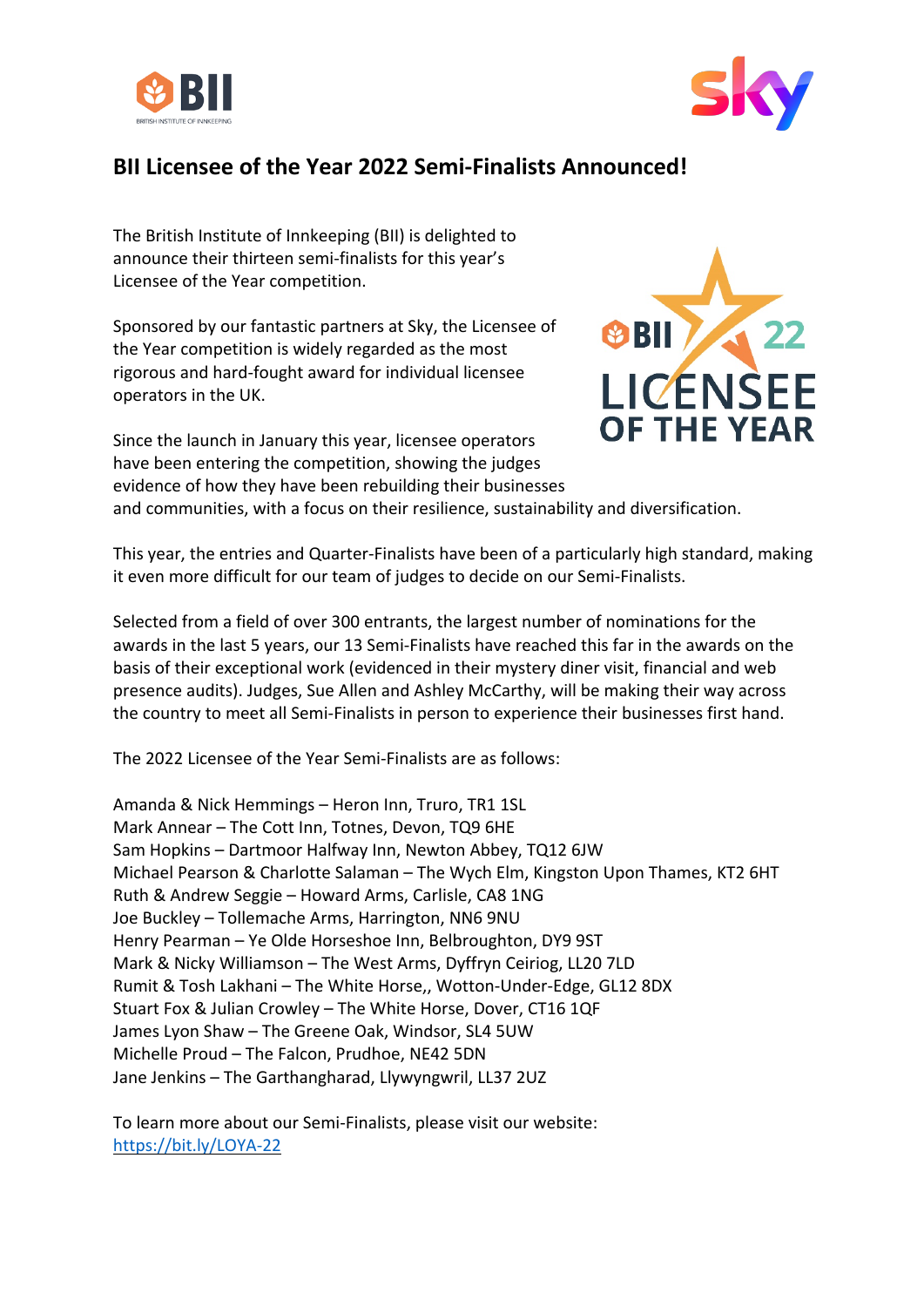



## **BII Licensee of the Year 2022 Semi-Finalists Announced!**

The British Institute of Innkeeping (BII) is delighted to announce their thirteen semi-finalists for this year's Licensee of the Year competition.

Sponsored by our fantastic partners at Sky, the Licensee of the Year competition is widely regarded as the most rigorous and hard-fought award for individual licensee operators in the UK.

Since the launch in January this year, licensee operators have been entering the competition, showing the judges evidence of how they have been rebuilding their businesses



and communities, with a focus on their resilience, sustainability and diversification.

This year, the entries and Quarter-Finalists have been of a particularly high standard, making it even more difficult for our team of judges to decide on our Semi-Finalists.

Selected from a field of over 300 entrants, the largest number of nominations for the awards in the last 5 years, our 13 Semi-Finalists have reached this far in the awards on the basis of their exceptional work (evidenced in their mystery diner visit, financial and web presence audits). Judges, Sue Allen and Ashley McCarthy, will be making their way across the country to meet all Semi-Finalists in person to experience their businesses first hand.

The 2022 Licensee of the Year Semi-Finalists are as follows:

Amanda & Nick Hemmings – Heron Inn, Truro, TR1 1SL Mark Annear – The Cott Inn, Totnes, Devon, TQ9 6HE Sam Hopkins – Dartmoor Halfway Inn, Newton Abbey, TQ12 6JW Michael Pearson & Charlotte Salaman – The Wych Elm, Kingston Upon Thames, KT2 6HT Ruth & Andrew Seggie – Howard Arms, Carlisle, CA8 1NG Joe Buckley – Tollemache Arms, Harrington, NN6 9NU Henry Pearman – Ye Olde Horseshoe Inn, Belbroughton, DY9 9ST Mark & Nicky Williamson – The West Arms, Dyffryn Ceiriog, LL20 7LD Rumit & Tosh Lakhani – The White Horse,, Wotton-Under-Edge, GL12 8DX Stuart Fox & Julian Crowley – The White Horse, Dover, CT16 1QF James Lyon Shaw – The Greene Oak, Windsor, SL4 5UW Michelle Proud – The Falcon, Prudhoe, NE42 5DN Jane Jenkins – The Garthangharad, Llywyngwril, LL37 2UZ

To learn more about our Semi-Finalists, please visit our website: https://bit.ly/LOYA-22